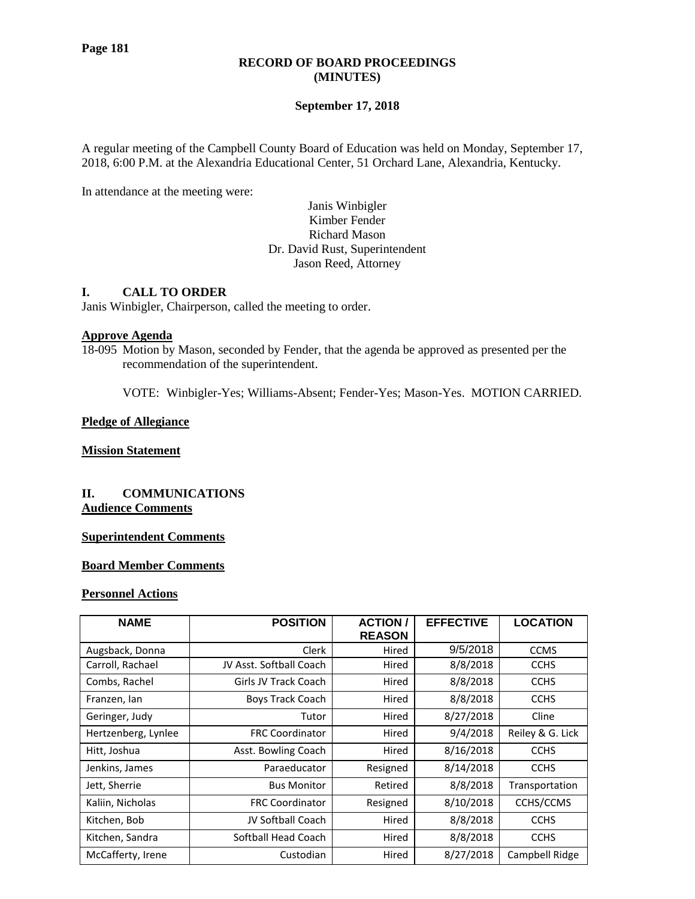## **RECORD OF BOARD PROCEEDINGS (MINUTES)**

# **September 17, 2018**

A regular meeting of the Campbell County Board of Education was held on Monday, September 17, 2018, 6:00 P.M. at the Alexandria Educational Center, 51 Orchard Lane, Alexandria, Kentucky.

In attendance at the meeting were:

Janis Winbigler Kimber Fender Richard Mason Dr. David Rust, Superintendent Jason Reed, Attorney

## **I. CALL TO ORDER**

Janis Winbigler, Chairperson, called the meeting to order.

### **Approve Agenda**

18-095 Motion by Mason, seconded by Fender, that the agenda be approved as presented per the recommendation of the superintendent.

VOTE: Winbigler-Yes; Williams-Absent; Fender-Yes; Mason-Yes. MOTION CARRIED.

### **Pledge of Allegiance**

### **Mission Statement**

## **II. COMMUNICATIONS Audience Comments**

# **Superintendent Comments**

# **Board Member Comments**

#### **Personnel Actions**

| <b>NAME</b>         | <b>POSITION</b>         | <b>ACTION</b><br><b>REASON</b> | <b>EFFECTIVE</b> | <b>LOCATION</b>  |
|---------------------|-------------------------|--------------------------------|------------------|------------------|
| Augsback, Donna     | Clerk                   | Hired                          | 9/5/2018         | <b>CCMS</b>      |
| Carroll, Rachael    | JV Asst. Softball Coach | Hired                          | 8/8/2018         | <b>CCHS</b>      |
| Combs, Rachel       | Girls JV Track Coach    | Hired                          | 8/8/2018         | <b>CCHS</b>      |
| Franzen, Ian        | Boys Track Coach        | Hired                          | 8/8/2018         | <b>CCHS</b>      |
| Geringer, Judy      | Tutor                   | Hired                          | 8/27/2018        | Cline            |
| Hertzenberg, Lynlee | <b>FRC Coordinator</b>  | Hired                          | 9/4/2018         | Reiley & G. Lick |
| Hitt, Joshua        | Asst. Bowling Coach     | Hired                          | 8/16/2018        | <b>CCHS</b>      |
| Jenkins, James      | Paraeducator            | Resigned                       | 8/14/2018        | <b>CCHS</b>      |
| Jett, Sherrie       | <b>Bus Monitor</b>      | Retired                        | 8/8/2018         | Transportation   |
| Kaliin, Nicholas    | <b>FRC Coordinator</b>  | Resigned                       | 8/10/2018        | CCHS/CCMS        |
| Kitchen, Bob        | JV Softball Coach       | Hired                          | 8/8/2018         | <b>CCHS</b>      |
| Kitchen, Sandra     | Softball Head Coach     | Hired                          | 8/8/2018         | <b>CCHS</b>      |
| McCafferty, Irene   | Custodian               | Hired                          | 8/27/2018        | Campbell Ridge   |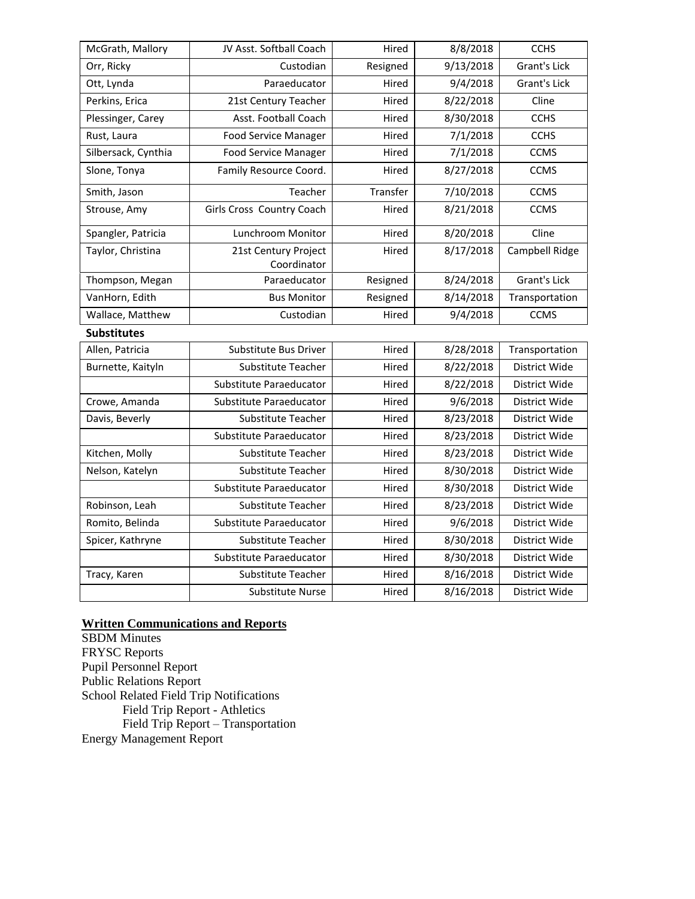| McGrath, Mallory    | JV Asst. Softball Coach             | Hired<br>8/8/2018     |           | <b>CCHS</b>         |
|---------------------|-------------------------------------|-----------------------|-----------|---------------------|
| Orr, Ricky          | Custodian                           | 9/13/2018<br>Resigned |           | <b>Grant's Lick</b> |
| Ott, Lynda          | Paraeducator                        | Hired                 | 9/4/2018  | <b>Grant's Lick</b> |
| Perkins, Erica      | 21st Century Teacher                | Hired                 | 8/22/2018 | Cline               |
| Plessinger, Carey   | Asst. Football Coach                | Hired                 | 8/30/2018 | <b>CCHS</b>         |
| Rust, Laura         | <b>Food Service Manager</b>         | Hired                 | 7/1/2018  | <b>CCHS</b>         |
| Silbersack, Cynthia | <b>Food Service Manager</b>         | Hired                 | 7/1/2018  | <b>CCMS</b>         |
| Slone, Tonya        | Family Resource Coord.              | 8/27/2018<br>Hired    |           | <b>CCMS</b>         |
| Smith, Jason        | Teacher                             | Transfer              | 7/10/2018 | <b>CCMS</b>         |
| Strouse, Amy        | Girls Cross Country Coach           | Hired                 | 8/21/2018 | <b>CCMS</b>         |
| Spangler, Patricia  | Lunchroom Monitor                   | Hired                 | 8/20/2018 | Cline               |
| Taylor, Christina   | 21st Century Project<br>Coordinator | 8/17/2018<br>Hired    |           | Campbell Ridge      |
| Thompson, Megan     | Paraeducator                        | Resigned              | 8/24/2018 | <b>Grant's Lick</b> |
| VanHorn, Edith      | <b>Bus Monitor</b>                  | Resigned              | 8/14/2018 | Transportation      |
| Wallace, Matthew    | Custodian<br>Hired                  |                       | 9/4/2018  | <b>CCMS</b>         |
| <b>Substitutes</b>  |                                     |                       |           |                     |
| Allen, Patricia     | Substitute Bus Driver               | Hired                 | 8/28/2018 | Transportation      |
| Burnette, Kaityln   | Substitute Teacher                  | 8/22/2018<br>Hired    |           | District Wide       |
|                     | Substitute Paraeducator             | Hired                 | 8/22/2018 | District Wide       |
| Crowe, Amanda       | Substitute Paraeducator             | Hired                 | 9/6/2018  | District Wide       |
| Davis, Beverly      | Substitute Teacher                  | Hired                 | 8/23/2018 | District Wide       |
|                     | Substitute Paraeducator             | Hired                 | 8/23/2018 | District Wide       |
| Kitchen, Molly      | Substitute Teacher<br>Hired         |                       | 8/23/2018 | District Wide       |
| Nelson, Katelyn     | Substitute Teacher                  | Hired                 | 8/30/2018 | District Wide       |
|                     | Substitute Paraeducator             | Hired                 | 8/30/2018 | District Wide       |
| Robinson, Leah      | Substitute Teacher                  | Hired                 | 8/23/2018 | District Wide       |
| Romito, Belinda     | Substitute Paraeducator             | 9/6/2018<br>Hired     |           | District Wide       |
| Spicer, Kathryne    | Substitute Teacher                  | Hired                 | 8/30/2018 | District Wide       |
|                     | Substitute Paraeducator             | Hired                 | 8/30/2018 | District Wide       |
| Tracy, Karen        | Substitute Teacher                  | Hired                 | 8/16/2018 | District Wide       |
|                     | <b>Substitute Nurse</b>             | Hired                 | 8/16/2018 | District Wide       |

# **Written Communications and Reports**

SBDM Minutes FRYSC Reports Pupil Personnel Report Public Relations Report School Related Field Trip Notifications Field Trip Report - Athletics Field Trip Report – Transportation Energy Management Report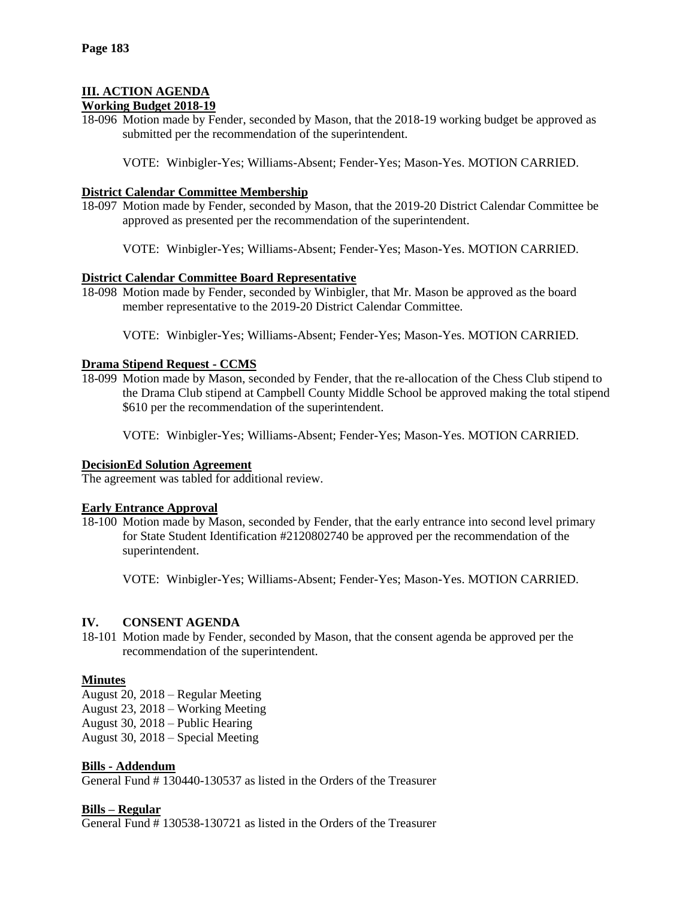# **III. ACTION AGENDA**

# **Working Budget 2018-19**

18-096 Motion made by Fender, seconded by Mason, that the 2018-19 working budget be approved as submitted per the recommendation of the superintendent.

VOTE: Winbigler-Yes; Williams-Absent; Fender-Yes; Mason-Yes. MOTION CARRIED.

## **District Calendar Committee Membership**

- 18-097 Motion made by Fender, seconded by Mason, that the 2019-20 District Calendar Committee be approved as presented per the recommendation of the superintendent.
	- VOTE: Winbigler-Yes; Williams-Absent; Fender-Yes; Mason-Yes. MOTION CARRIED.

## **District Calendar Committee Board Representative**

- 18-098 Motion made by Fender, seconded by Winbigler, that Mr. Mason be approved as the board member representative to the 2019-20 District Calendar Committee.
	- VOTE: Winbigler-Yes; Williams-Absent; Fender-Yes; Mason-Yes. MOTION CARRIED.

## **Drama Stipend Request - CCMS**

18-099 Motion made by Mason, seconded by Fender, that the re-allocation of the Chess Club stipend to the Drama Club stipend at Campbell County Middle School be approved making the total stipend \$610 per the recommendation of the superintendent.

VOTE: Winbigler-Yes; Williams-Absent; Fender-Yes; Mason-Yes. MOTION CARRIED.

### **DecisionEd Solution Agreement**

The agreement was tabled for additional review.

### **Early Entrance Approval**

18-100 Motion made by Mason, seconded by Fender, that the early entrance into second level primary for State Student Identification #2120802740 be approved per the recommendation of the superintendent.

VOTE: Winbigler-Yes; Williams-Absent; Fender-Yes; Mason-Yes. MOTION CARRIED.

### **IV. CONSENT AGENDA**

18-101 Motion made by Fender, seconded by Mason, that the consent agenda be approved per the recommendation of the superintendent.

# **Minutes**

- August 20, 2018 Regular Meeting
- August 23, 2018 Working Meeting
- August 30, 2018 Public Hearing
- August 30, 2018 Special Meeting

### **Bills - Addendum**

General Fund # 130440-130537 as listed in the Orders of the Treasurer

### **Bills – Regular**

General Fund # 130538-130721 as listed in the Orders of the Treasurer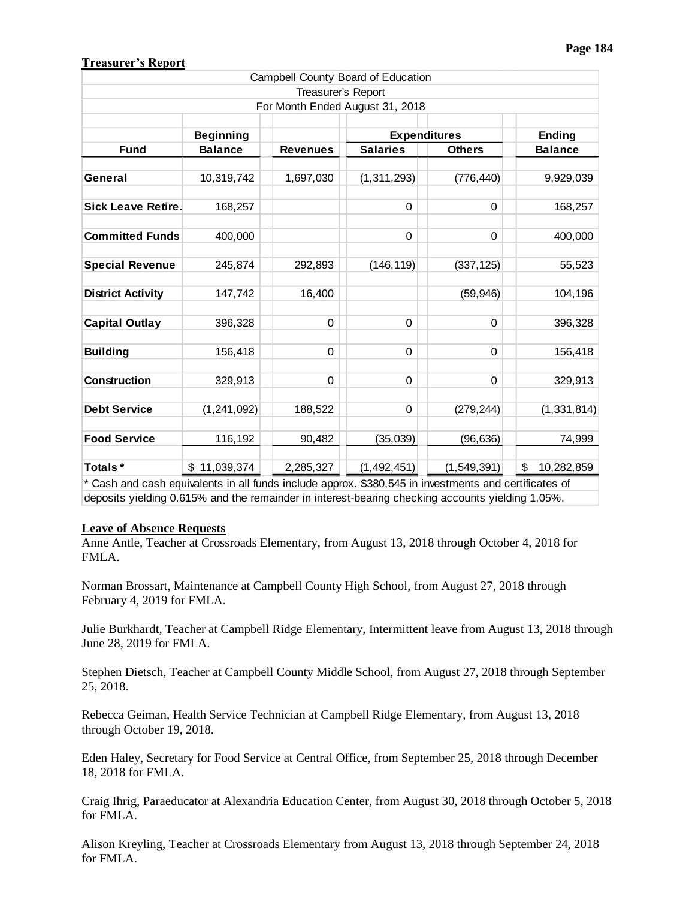# **Treasurer's Report**

|                                                                                                                  |                                    |                    | Campbell County Board of Education                      |               |                          |
|------------------------------------------------------------------------------------------------------------------|------------------------------------|--------------------|---------------------------------------------------------|---------------|--------------------------|
|                                                                                                                  |                                    | Treasurer's Report |                                                         |               |                          |
|                                                                                                                  |                                    |                    | For Month Ended August 31, 2018                         |               |                          |
|                                                                                                                  |                                    |                    | <b>Expenditures</b><br><b>Salaries</b><br><b>Others</b> |               | Ending<br><b>Balance</b> |
| <b>Fund</b>                                                                                                      | <b>Beginning</b><br><b>Balance</b> | <b>Revenues</b>    |                                                         |               |                          |
|                                                                                                                  |                                    |                    |                                                         |               |                          |
| General                                                                                                          | 10,319,742                         | 1,697,030          | (1, 311, 293)                                           | (776, 440)    | 9,929,039                |
| <b>Sick Leave Retire.</b>                                                                                        | 168,257                            |                    | $\Omega$                                                | $\Omega$      | 168,257                  |
| <b>Committed Funds</b>                                                                                           | 400,000                            |                    | 0                                                       | $\mathbf 0$   | 400,000                  |
| <b>Special Revenue</b>                                                                                           | 245,874                            | 292,893            | (146, 119)                                              | (337, 125)    | 55,523                   |
| <b>District Activity</b>                                                                                         | 147,742                            | 16,400             |                                                         | (59, 946)     | 104,196                  |
| <b>Capital Outlay</b>                                                                                            | 396,328                            | 0                  | $\Omega$                                                | $\Omega$      | 396,328                  |
| <b>Building</b>                                                                                                  | 156,418                            | $\Omega$           | $\Omega$                                                | $\Omega$      | 156,418                  |
| <b>Construction</b>                                                                                              | 329,913                            | $\Omega$           | $\Omega$                                                | $\Omega$      | 329,913                  |
| <b>Debt Service</b>                                                                                              | (1, 241, 092)                      | 188,522            | 0                                                       | (279, 244)    | (1, 331, 814)            |
| <b>Food Service</b>                                                                                              | 116,192                            | 90,482             | (35,039)                                                | (96, 636)     | 74,999                   |
| Totals*<br>* Cash and cash equivalents in all funds include approx. \$380.545 in investments and certificates of | \$11,039,374                       | 2,285,327          | (1,492,451)                                             | (1, 549, 391) | \$<br>10,282,859         |

asn and cash equivalents in all funds include approx. \$380,545 in investments and certificates of deposits yielding 0.615% and the remainder in interest-bearing checking accounts yielding 1.05%.

### **Leave of Absence Requests**

Anne Antle, Teacher at Crossroads Elementary, from August 13, 2018 through October 4, 2018 for FMLA.

Norman Brossart, Maintenance at Campbell County High School, from August 27, 2018 through February 4, 2019 for FMLA.

Julie Burkhardt, Teacher at Campbell Ridge Elementary, Intermittent leave from August 13, 2018 through June 28, 2019 for FMLA.

Stephen Dietsch, Teacher at Campbell County Middle School, from August 27, 2018 through September 25, 2018.

Rebecca Geiman, Health Service Technician at Campbell Ridge Elementary, from August 13, 2018 through October 19, 2018.

Eden Haley, Secretary for Food Service at Central Office, from September 25, 2018 through December 18, 2018 for FMLA.

Craig Ihrig, Paraeducator at Alexandria Education Center, from August 30, 2018 through October 5, 2018 for FMLA.

Alison Kreyling, Teacher at Crossroads Elementary from August 13, 2018 through September 24, 2018 for FMLA.